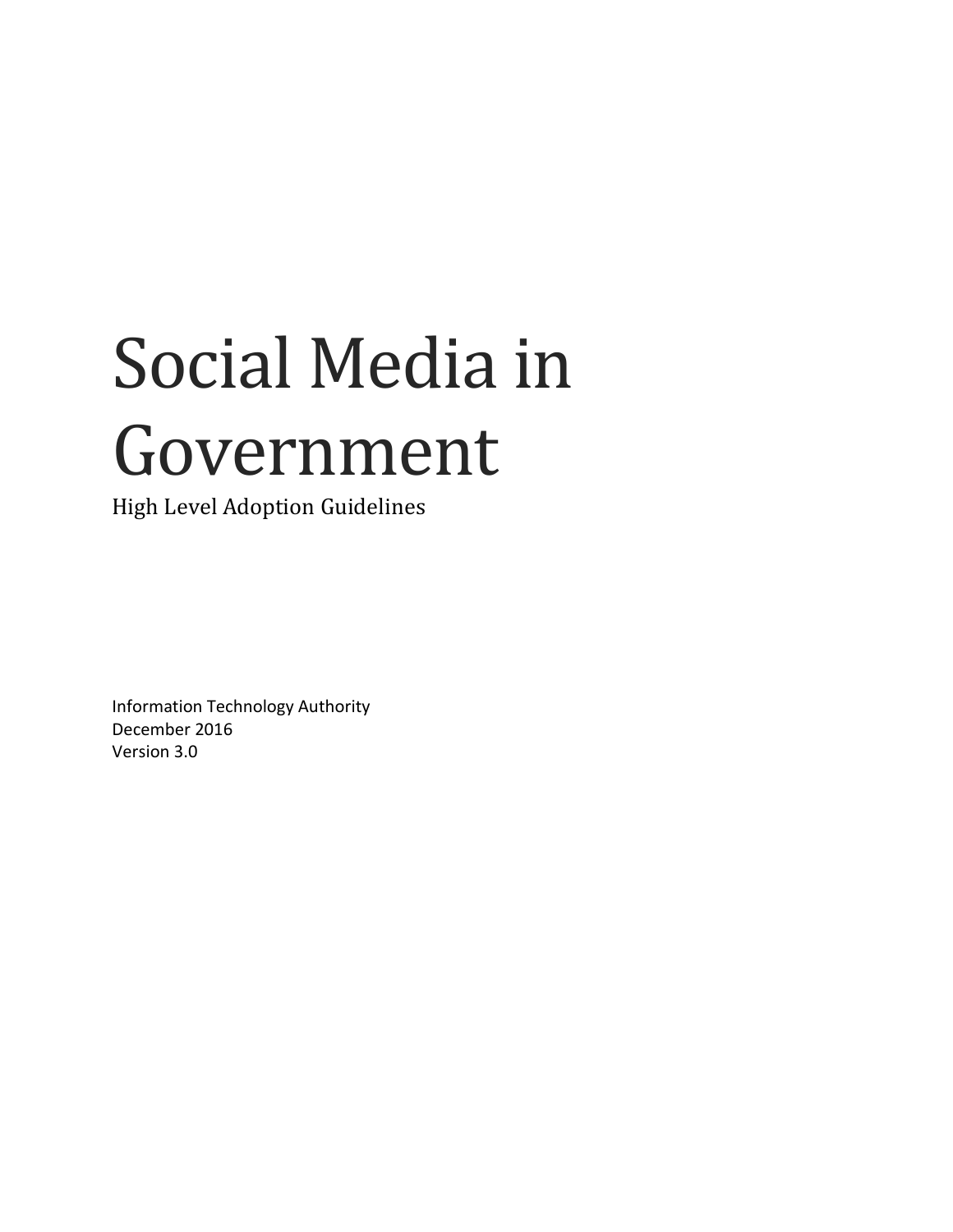# Social Media in Government

High Level Adoption Guidelines

Information Technology Authority December 2016 Version 3.0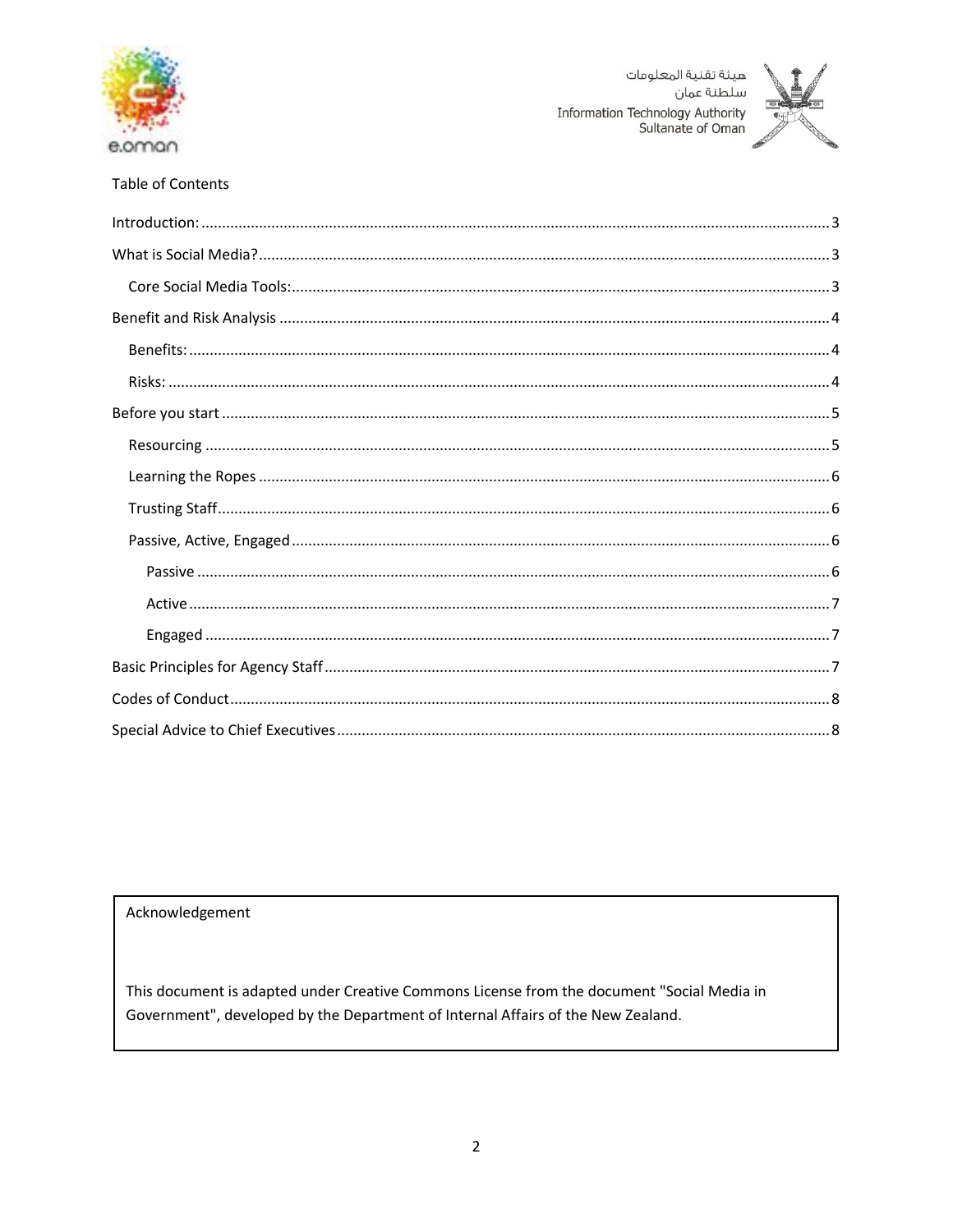



#### **Table of Contents**

#### Acknowledgement

This document is adapted under Creative Commons License from the document "Social Media in Government", developed by the Department of Internal Affairs of the New Zealand.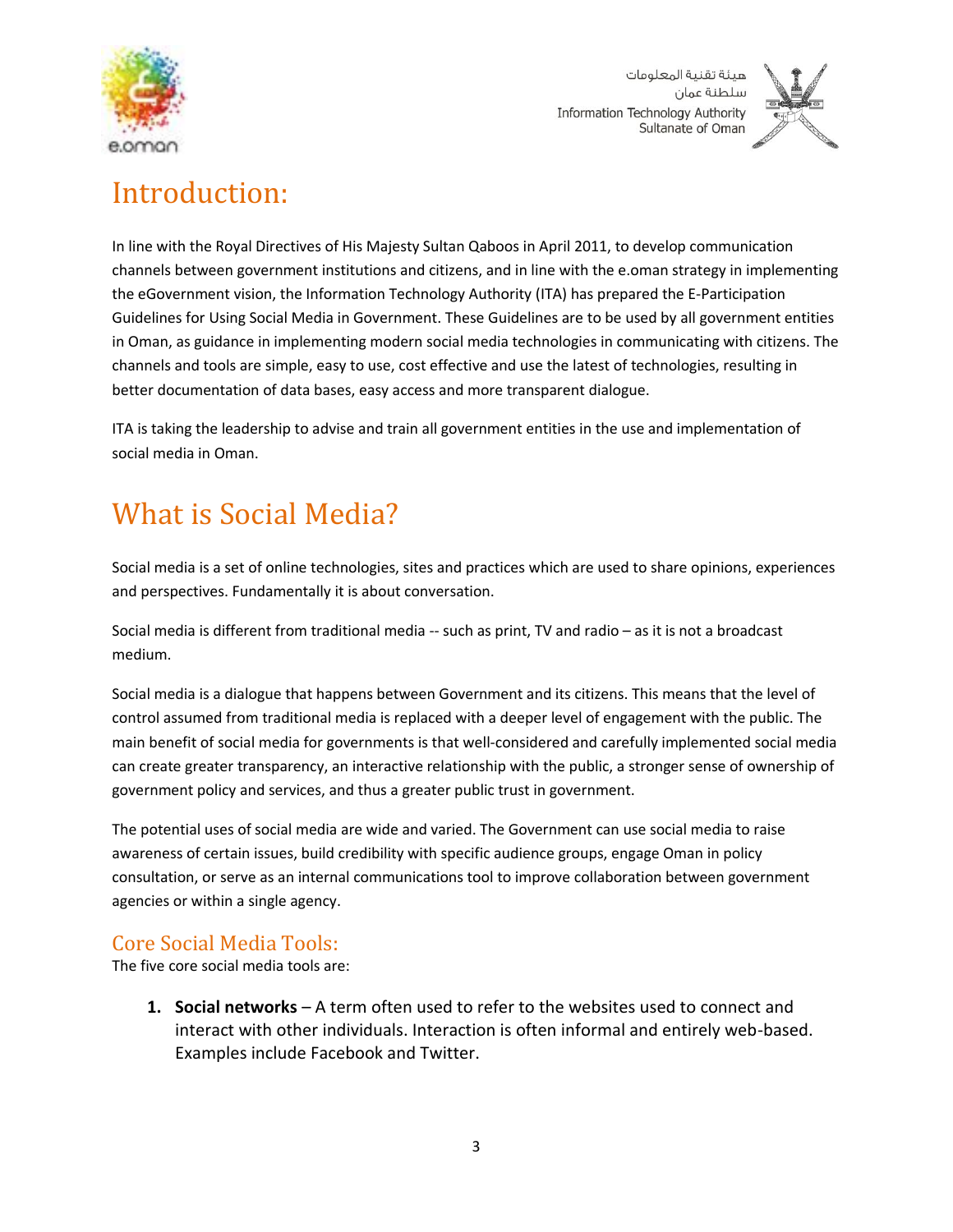



# <span id="page-2-0"></span>Introduction:

In line with the Royal Directives of His Majesty Sultan Qaboos in April 2011, to develop communication channels between government institutions and citizens, and in line with the e.oman strategy in implementing the eGovernment vision, the Information Technology Authority (ITA) has prepared the E-Participation Guidelines for Using Social Media in Government. These Guidelines are to be used by all government entities in Oman, as guidance in implementing modern social media technologies in communicating with citizens. The channels and tools are simple, easy to use, cost effective and use the latest of technologies, resulting in better documentation of data bases, easy access and more transparent dialogue.

ITA is taking the leadership to advise and train all government entities in the use and implementation of social media in Oman.

# <span id="page-2-1"></span>What is Social Media?

Social media is a set of online technologies, sites and practices which are used to share opinions, experiences and perspectives. Fundamentally it is about conversation.

Social media is different from traditional media -- such as print, TV and radio – as it is not a broadcast medium.

Social media is a dialogue that happens between Government and its citizens. This means that the level of control assumed from traditional media is replaced with a deeper level of engagement with the public. The main benefit of social media for governments is that well-considered and carefully implemented social media can create greater transparency, an interactive relationship with the public, a stronger sense of ownership of government policy and services, and thus a greater public trust in government.

The potential uses of social media are wide and varied. The Government can use social media to raise awareness of certain issues, build credibility with specific audience groups, engage Oman in policy consultation, or serve as an internal communications tool to improve collaboration between government agencies or within a single agency.

## <span id="page-2-2"></span>Core Social Media Tools:

The five core social media tools are:

**1. Social networks** – A term often used to refer to the websites used to connect and interact with other individuals. Interaction is often informal and entirely web-based. Examples include Facebook and Twitter.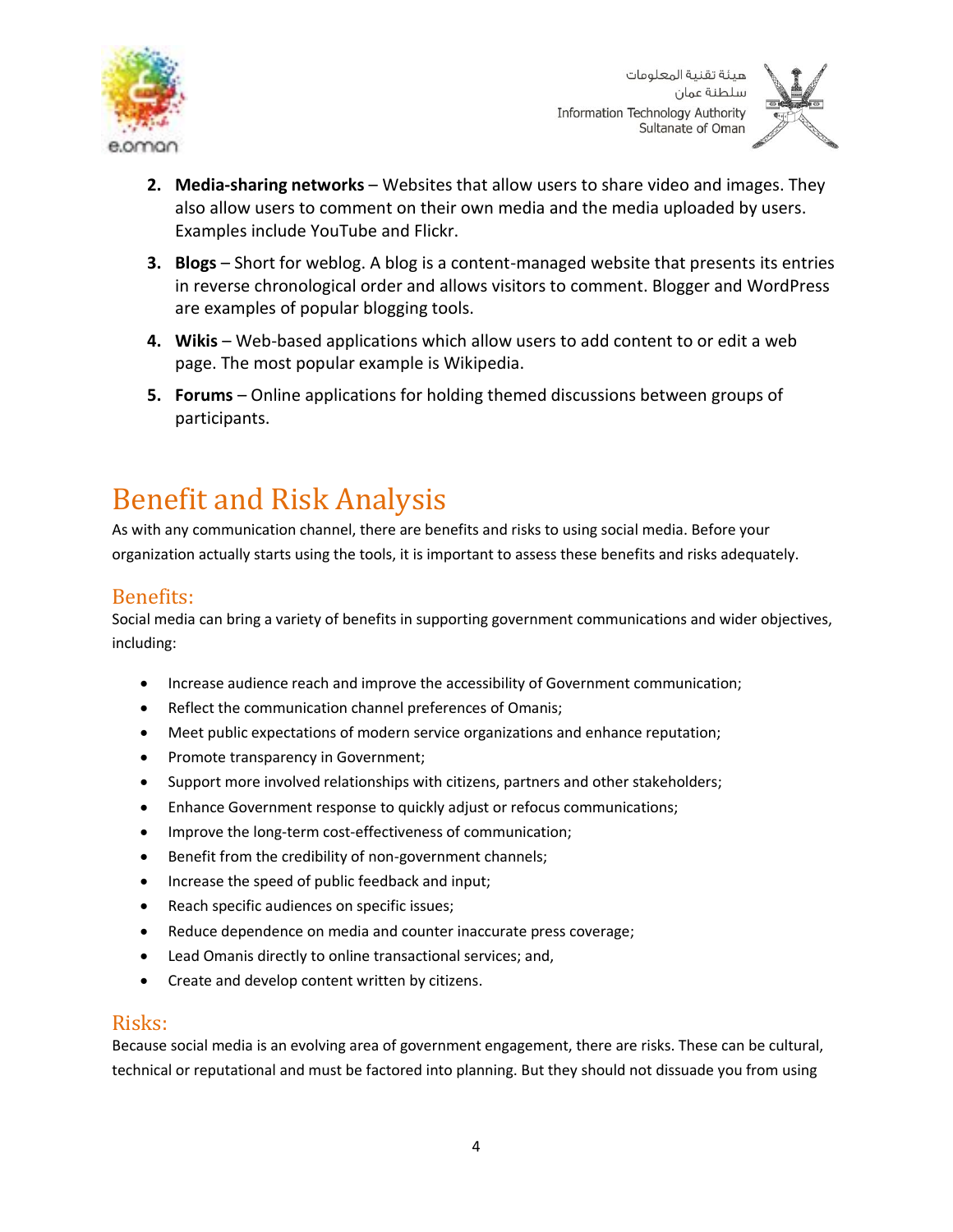



- **2. Media-sharing networks** Websites that allow users to share video and images. They also allow users to comment on their own media and the media uploaded by users. Examples include YouTube and Flickr.
- **3. Blogs** Short for weblog. A blog is a content-managed website that presents its entries in reverse chronological order and allows visitors to comment. Blogger and WordPress are examples of popular blogging tools.
- **4. Wikis** Web-based applications which allow users to add content to or edit a web page. The most popular example is Wikipedia.
- **5. Forums** Online applications for holding themed discussions between groups of participants.

# <span id="page-3-0"></span>Benefit and Risk Analysis

As with any communication channel, there are benefits and risks to using social media. Before your organization actually starts using the tools, it is important to assess these benefits and risks adequately.

## <span id="page-3-1"></span>Benefits:

Social media can bring a variety of benefits in supporting government communications and wider objectives, including:

- Increase audience reach and improve the accessibility of Government communication;
- Reflect the communication channel preferences of Omanis;
- Meet public expectations of modern service organizations and enhance reputation;
- Promote transparency in Government;
- Support more involved relationships with citizens, partners and other stakeholders;
- Enhance Government response to quickly adjust or refocus communications;
- Improve the long-term cost-effectiveness of communication;
- Benefit from the credibility of non-government channels;
- Increase the speed of public feedback and input;
- Reach specific audiences on specific issues;
- Reduce dependence on media and counter inaccurate press coverage;
- Lead Omanis directly to online transactional services; and,
- Create and develop content written by citizens.

#### <span id="page-3-2"></span>Risks:

Because social media is an evolving area of government engagement, there are risks. These can be cultural, technical or reputational and must be factored into planning. But they should not dissuade you from using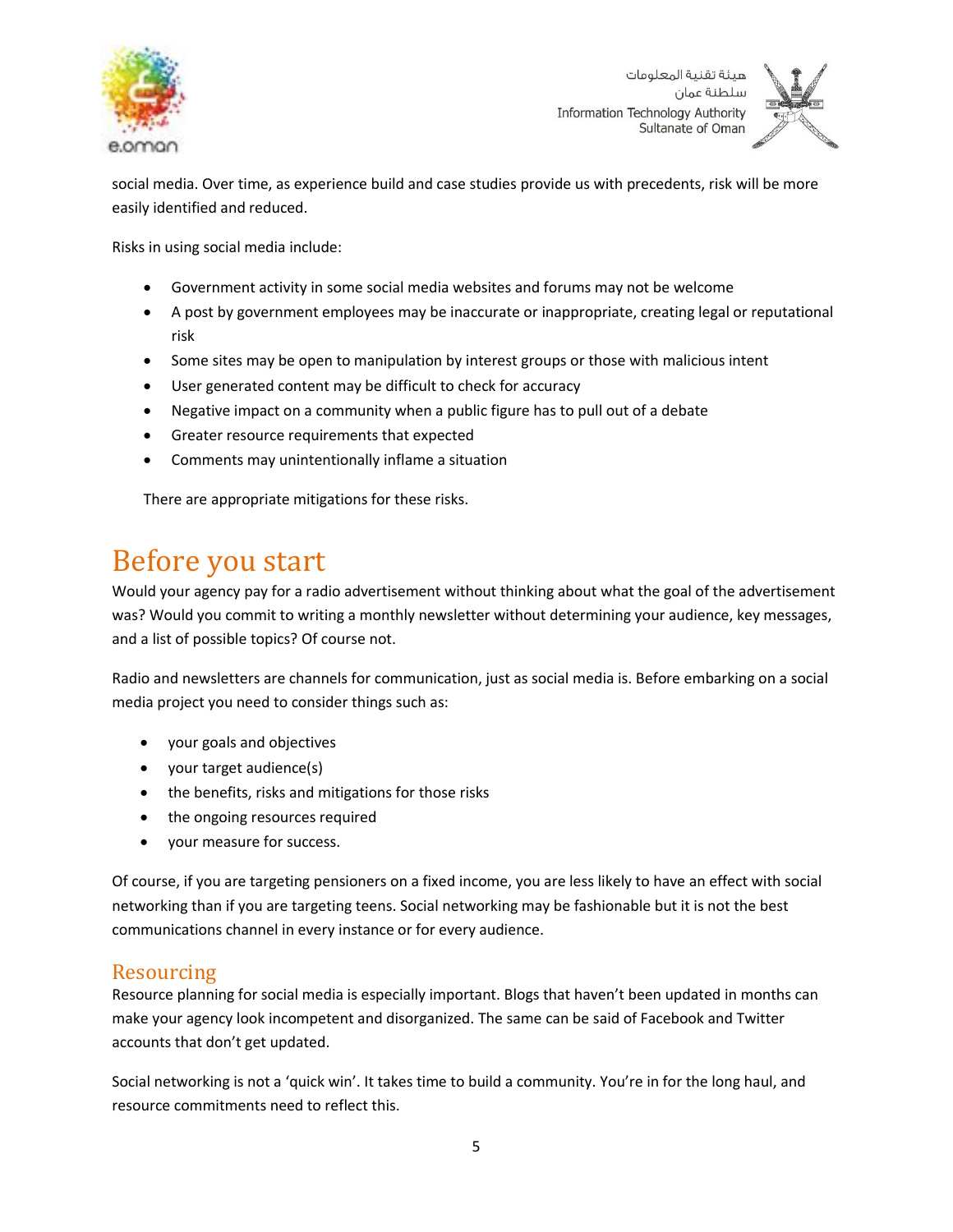



social media. Over time, as experience build and case studies provide us with precedents, risk will be more easily identified and reduced.

Risks in using social media include:

- Government activity in some social media websites and forums may not be welcome
- A post by government employees may be inaccurate or inappropriate, creating legal or reputational risk
- Some sites may be open to manipulation by interest groups or those with malicious intent
- User generated content may be difficult to check for accuracy
- Negative impact on a community when a public figure has to pull out of a debate
- Greater resource requirements that expected
- Comments may unintentionally inflame a situation

There are appropriate mitigations for these risks.

## <span id="page-4-0"></span>Before you start

Would your agency pay for a radio advertisement without thinking about what the goal of the advertisement was? Would you commit to writing a monthly newsletter without determining your audience, key messages, and a list of possible topics? Of course not.

Radio and newsletters are channels for communication, just as social media is. Before embarking on a social media project you need to consider things such as:

- your goals and objectives
- your target audience(s)
- the benefits, risks and mitigations for those risks
- the ongoing resources required
- your measure for success.

Of course, if you are targeting pensioners on a fixed income, you are less likely to have an effect with social networking than if you are targeting teens. Social networking may be fashionable but it is not the best communications channel in every instance or for every audience.

## <span id="page-4-1"></span>Resourcing

Resource planning for social media is especially important. Blogs that haven't been updated in months can make your agency look incompetent and disorganized. The same can be said of Facebook and Twitter accounts that don't get updated.

Social networking is not a 'quick win'. It takes time to build a community. You're in for the long haul, and resource commitments need to reflect this.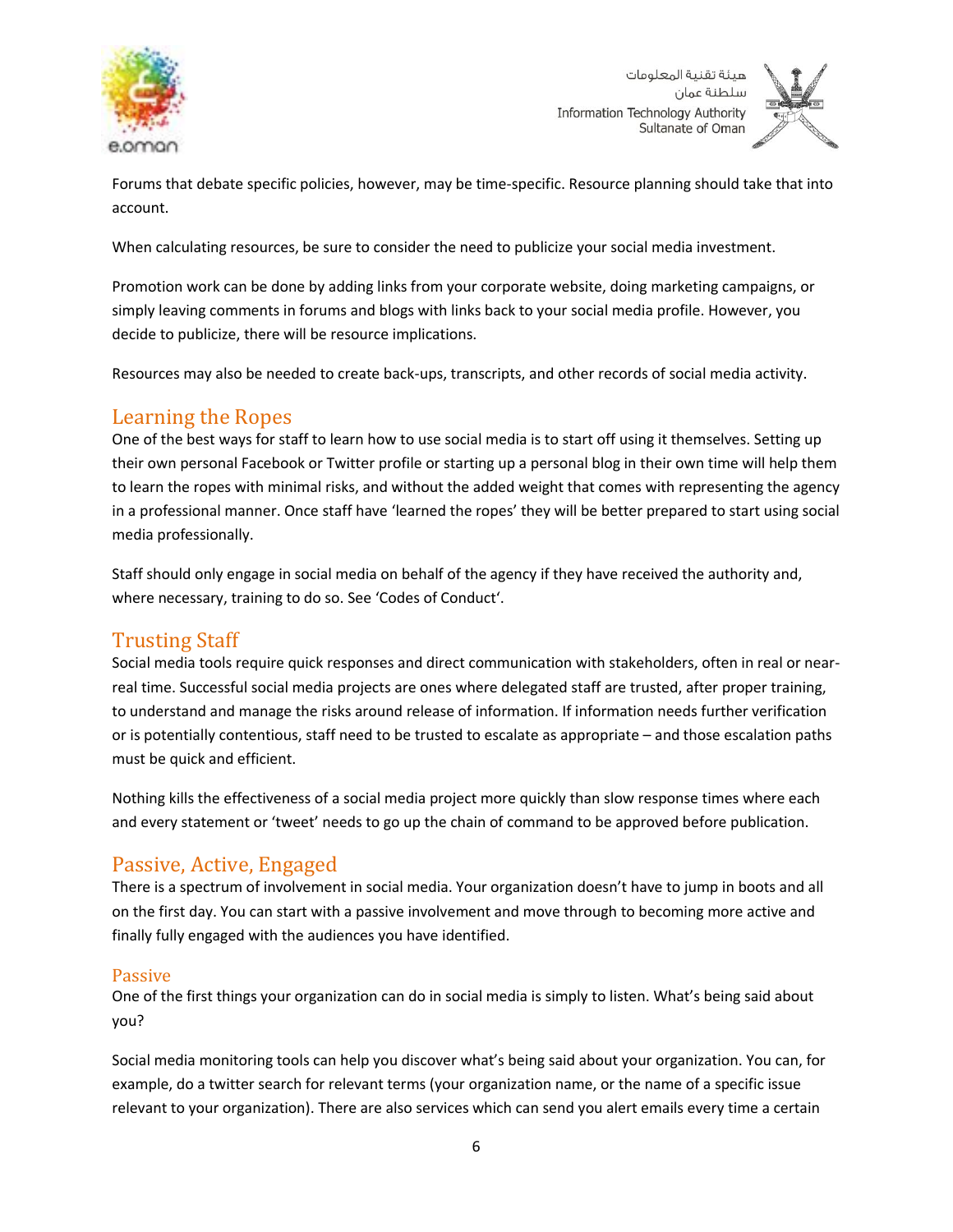

سلطنة عمان **Information Technology Authority** Sultanate of Oman



Forums that debate specific policies, however, may be time-specific. Resource planning should take that into account.

When calculating resources, be sure to consider the need to publicize your social media investment.

Promotion work can be done by adding links from your corporate website, doing marketing campaigns, or simply leaving comments in forums and blogs with links back to your social media profile. However, you decide to publicize, there will be resource implications.

Resources may also be needed to create back-ups, transcripts, and other records of social media activity.

## <span id="page-5-0"></span>Learning the Ropes

One of the best ways for staff to learn how to use social media is to start off using it themselves. Setting up their own personal Facebook or Twitter profile or starting up a personal blog in their own time will help them to learn the ropes with minimal risks, and without the added weight that comes with representing the agency in a professional manner. Once staff have 'learned the ropes' they will be better prepared to start using social media professionally.

Staff should only engage in social media on behalf of the agency if they have received the authority and, where necessary, training to do so. See 'Codes of Conduct'.

## <span id="page-5-1"></span>Trusting Staff

Social media tools require quick responses and direct communication with stakeholders, often in real or nearreal time. Successful social media projects are ones where delegated staff are trusted, after proper training, to understand and manage the risks around release of information. If information needs further verification or is potentially contentious, staff need to be trusted to escalate as appropriate – and those escalation paths must be quick and efficient.

Nothing kills the effectiveness of a social media project more quickly than slow response times where each and every statement or 'tweet' needs to go up the chain of command to be approved before publication.

## <span id="page-5-2"></span>Passive, Active, Engaged

There is a spectrum of involvement in social media. Your organization doesn't have to jump in boots and all on the first day. You can start with a passive involvement and move through to becoming more active and finally fully engaged with the audiences you have identified.

#### <span id="page-5-3"></span>Passive

One of the first things your organization can do in social media is simply to listen. What's being said about you?

Social media monitoring tools can help you discover what's being said about your organization. You can, for example, do a twitter search for relevant terms (your organization name, or the name of a specific issue relevant to your organization). There are also services which can send you alert emails every time a certain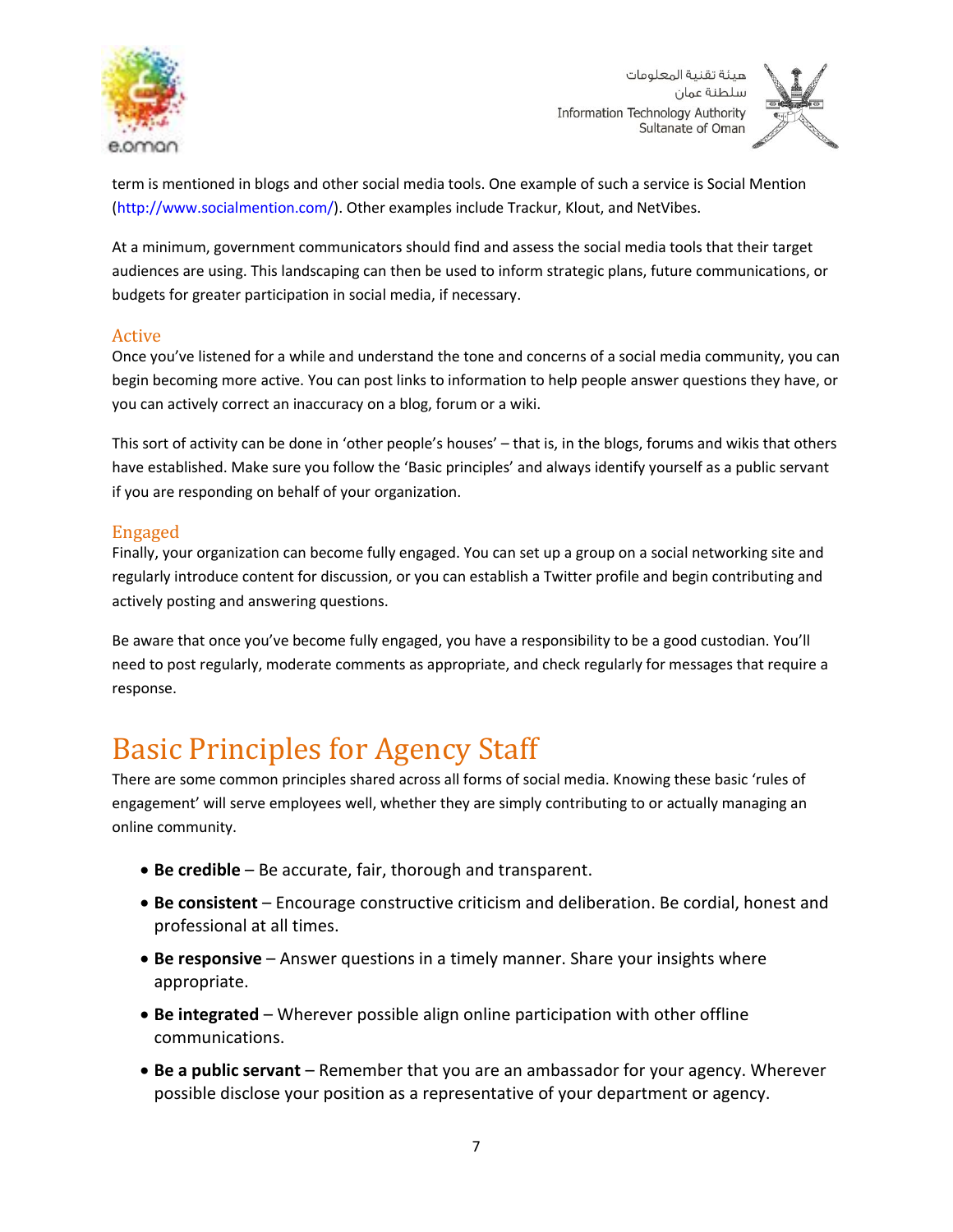



term is mentioned in blogs and other social media tools. One example of such a service is Social Mention (http://www.socialmention.com/). Other examples include Trackur, Klout, and NetVibes.

At a minimum, government communicators should find and assess the social media tools that their target audiences are using. This landscaping can then be used to inform strategic plans, future communications, or budgets for greater participation in social media, if necessary.

#### <span id="page-6-0"></span>Active

Once you've listened for a while and understand the tone and concerns of a social media community, you can begin becoming more active. You can post links to information to help people answer questions they have, or you can actively correct an inaccuracy on a blog, forum or a wiki.

This sort of activity can be done in 'other people's houses' – that is, in the blogs, forums and wikis that others have established. Make sure you follow the 'Basic principles' and always identify yourself as a public servant if you are responding on behalf of your organization.

#### <span id="page-6-1"></span>Engaged

Finally, your organization can become fully engaged. You can set up a group on a social networking site and regularly introduce content for discussion, or you can establish a Twitter profile and begin contributing and actively posting and answering questions.

Be aware that once you've become fully engaged, you have a responsibility to be a good custodian. You'll need to post regularly, moderate comments as appropriate, and check regularly for messages that require a response.

## <span id="page-6-2"></span>Basic Principles for Agency Staff

There are some common principles shared across all forms of social media. Knowing these basic 'rules of engagement' will serve employees well, whether they are simply contributing to or actually managing an online community.

- **Be credible** Be accurate, fair, thorough and transparent.
- **Be consistent** Encourage constructive criticism and deliberation. Be cordial, honest and professional at all times.
- **Be responsive** Answer questions in a timely manner. Share your insights where appropriate.
- **Be integrated** Wherever possible align online participation with other offline communications.
- **Be a public servant**  Remember that you are an ambassador for your agency. Wherever possible disclose your position as a representative of your department or agency.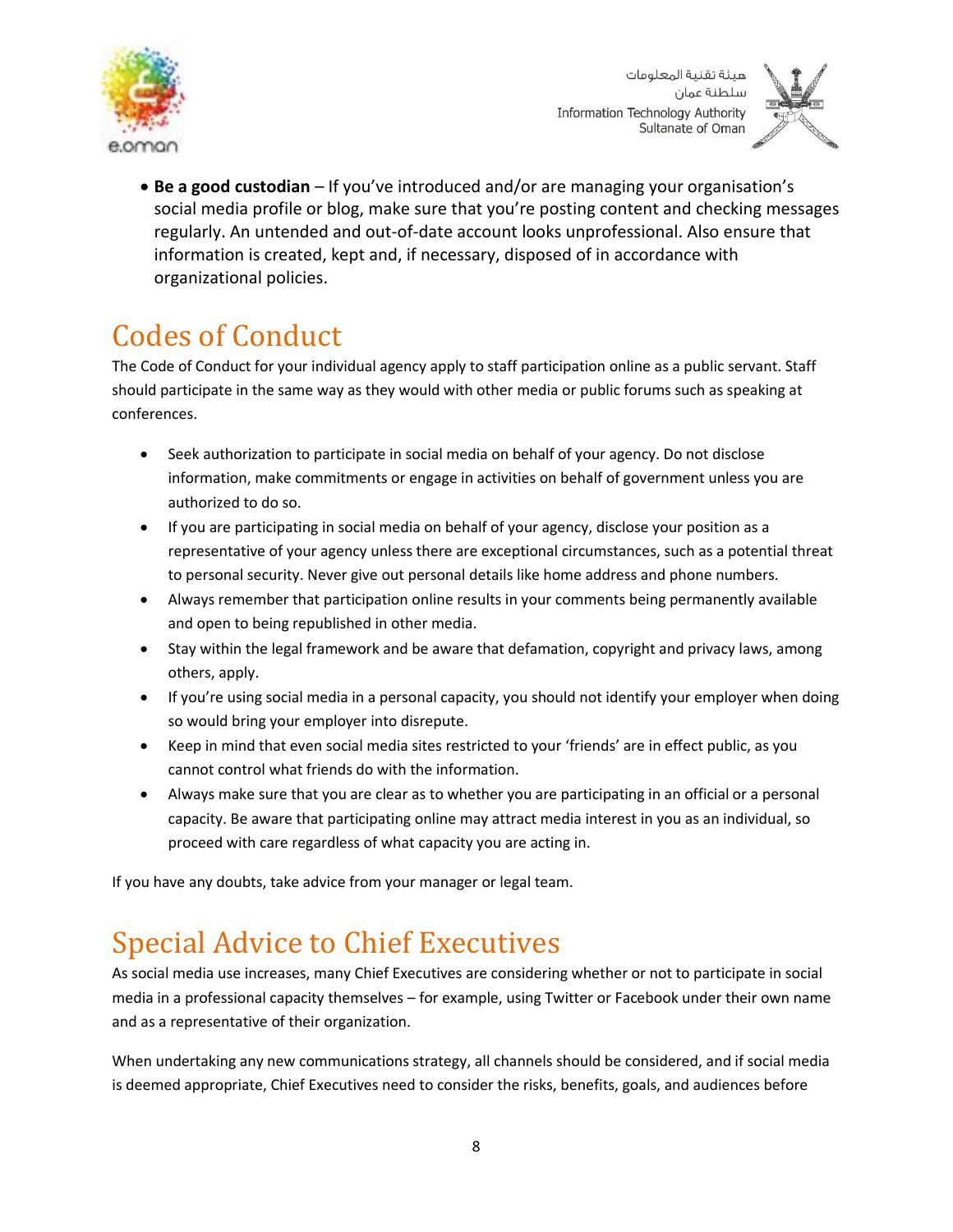



 **Be a good custodian** – If you've introduced and/or are managing your organisation's social media profile or blog, make sure that you're posting content and checking messages regularly. An untended and out-of-date account looks unprofessional. Also ensure that information is created, kept and, if necessary, disposed of in accordance with organizational policies.

# <span id="page-7-0"></span>Codes of Conduct

The Code of Conduct for your individual agency apply to staff participation online as a public servant. Staff should participate in the same way as they would with other media or public forums such as speaking at conferences.

- Seek authorization to participate in social media on behalf of your agency. Do not disclose information, make commitments or engage in activities on behalf of government unless you are authorized to do so.
- If you are participating in social media on behalf of your agency, disclose your position as a representative of your agency unless there are exceptional circumstances, such as a potential threat to personal security. Never give out personal details like home address and phone numbers.
- Always remember that participation online results in your comments being permanently available and open to being republished in other media.
- Stay within the legal framework and be aware that defamation, copyright and privacy laws, among others, apply.
- If you're using social media in a personal capacity, you should not identify your employer when doing so would bring your employer into disrepute.
- Keep in mind that even social media sites restricted to your 'friends' are in effect public, as you cannot control what friends do with the information.
- Always make sure that you are clear as to whether you are participating in an official or a personal capacity. Be aware that participating online may attract media interest in you as an individual, so proceed with care regardless of what capacity you are acting in.

If you have any doubts, take advice from your manager or legal team.

# <span id="page-7-1"></span>Special Advice to Chief Executives

As social media use increases, many Chief Executives are considering whether or not to participate in social media in a professional capacity themselves – for example, using Twitter or Facebook under their own name and as a representative of their organization.

When undertaking any new communications strategy, all channels should be considered, and if social media is deemed appropriate, Chief Executives need to consider the risks, benefits, goals, and audiences before